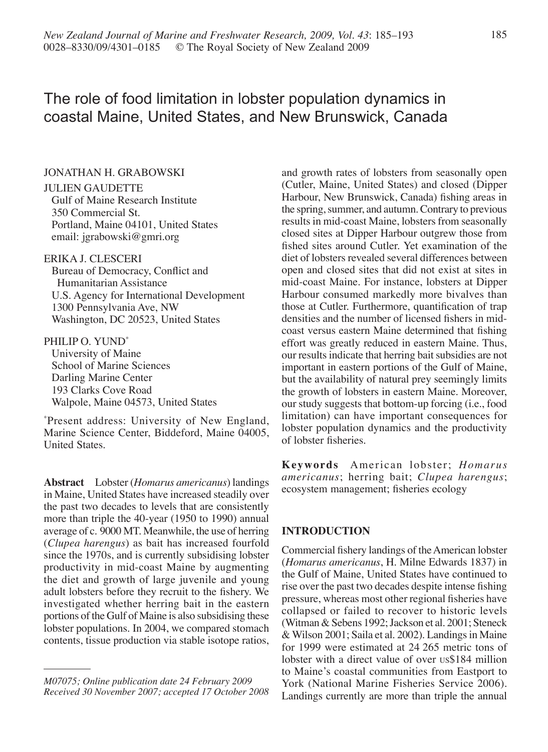# The role of food limitation in lobster population dynamics in coastal Maine, United States, and New Brunswick, Canada

## Jonathan H. Grabowski

Julien Gaudette Gulf of Maine Research Institute 350 Commercial St. Portland, Maine 04101, United States email: jgrabowski@gmri.org

erika j. clesceri Bureau of Democracy, Conflict and Humanitarian Assistance U.S. Agency for International Development 1300 Pennsylvania Ave, NW Washington, DC 20523, United States

philip o. yund\* University of Maine School of Marine Sciences Darling Marine Center 193 Clarks Cove Road Walpole, Maine 04573, United States

\* Present address: University of New England, Marine Science Center, Biddeford, Maine 04005, United States.

**Abstract** Lobster (*Homarus americanus*) landings in Maine, United States have increased steadily over the past two decades to levels that are consistently more than triple the 40-year (1950 to 1990) annual average of c. 9000 MT. Meanwhile, the use of herring (*Clupea harengus*) as bait has increased fourfold since the 1970s, and is currently subsidising lobster productivity in mid-coast Maine by augmenting the diet and growth of large juvenile and young adult lobsters before they recruit to the fishery. We investigated whether herring bait in the eastern portions of the Gulf of Maine is also subsidising these lobster populations. In 2004, we compared stomach contents, tissue production via stable isotope ratios, and growth rates of lobsters from seasonally open (Cutler, Maine, United States) and closed (Dipper Harbour, New Brunswick, Canada) fishing areas in the spring, summer, and autumn. Contrary to previous results in mid-coast Maine, lobsters from seasonally closed sites at Dipper Harbour outgrew those from fished sites around Cutler. Yet examination of the diet of lobsters revealed several differences between open and closed sites that did not exist at sites in mid-coast Maine. For instance, lobsters at Dipper Harbour consumed markedly more bivalves than those at Cutler. Furthermore, quantification of trap densities and the number of licensed fishers in midcoast versus eastern Maine determined that fishing effort was greatly reduced in eastern Maine. Thus, our results indicate that herring bait subsidies are not important in eastern portions of the Gulf of Maine, but the availability of natural prey seemingly limits the growth of lobsters in eastern Maine. Moreover, our study suggests that bottom-up forcing (i.e., food limitation) can have important consequences for lobster population dynamics and the productivity of lobster fisheries.

**Keywords**  American lobster; *Homarus americanus*; herring bait; *Clupea harengus*; ecosystem management; fisheries ecology

## **INTRODUCTION**

Commercial fishery landings of the American lobster (*Homarus americanus*, H. Milne Edwards 1837) in the Gulf of Maine, United States have continued to rise over the past two decades despite intense fishing pressure, whereas most other regional fisheries have collapsed or failed to recover to historic levels (Witman & Sebens 1992; Jackson et al. 2001; Steneck & Wilson 2001; Saila et al. 2002). Landings in Maine for 1999 were estimated at 24 265 metric tons of lobster with a direct value of over us\$184 million to Maine's coastal communities from Eastport to York (National Marine Fisheries Service 2006). Landings currently are more than triple the annual

*M07075; Online publication date 24 February 2009 Received 30 November 2007; accepted 17 October 2008*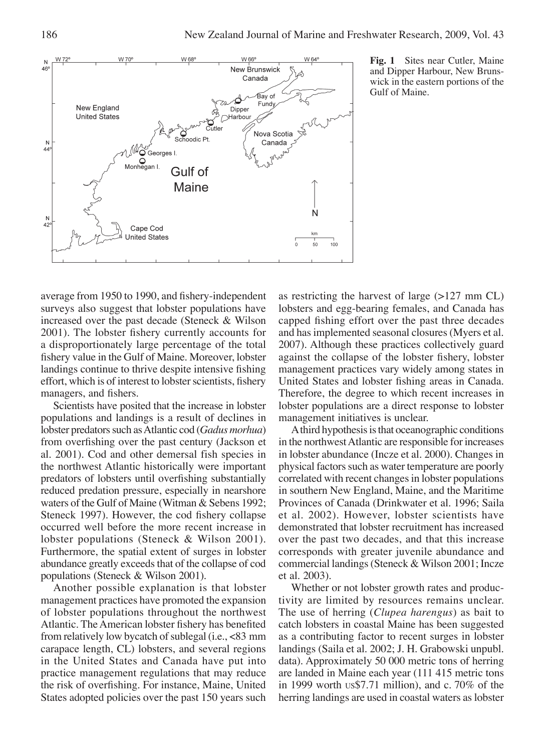

**Fig. 1** Sites near Cutler, Maine and Dipper Harbour, New Brunswick in the eastern portions of the Gulf of Maine.

average from 1950 to 1990, and fishery-independent surveys also suggest that lobster populations have increased over the past decade (Steneck & Wilson 2001). The lobster fishery currently accounts for a disproportionately large percentage of the total fishery value in the Gulf of Maine. Moreover, lobster landings continue to thrive despite intensive fishing effort, which is of interest to lobster scientists, fishery managers, and fishers.

Scientists have posited that the increase in lobster populations and landings is a result of declines in lobster predators such as Atlantic cod (*Gadus morhua*) from overfishing over the past century (Jackson et al. 2001). Cod and other demersal fish species in the northwest Atlantic historically were important predators of lobsters until overfishing substantially reduced predation pressure, especially in nearshore waters of the Gulf of Maine (Witman & Sebens 1992; Steneck 1997). However, the cod fishery collapse occurred well before the more recent increase in lobster populations (Steneck & Wilson 2001). Furthermore, the spatial extent of surges in lobster abundance greatly exceeds that of the collapse of cod populations (Steneck & Wilson 2001).

Another possible explanation is that lobster management practices have promoted the expansion of lobster populations throughout the northwest Atlantic. The American lobster fishery has benefited from relatively low bycatch of sublegal (i.e., <83 mm carapace length, CL) lobsters, and several regions in the United States and Canada have put into practice management regulations that may reduce the risk of overfishing. For instance, Maine, United States adopted policies over the past 150 years such

as restricting the harvest of large (>127 mm CL) lobsters and egg-bearing females, and Canada has capped fishing effort over the past three decades and has implemented seasonal closures (Myers et al. 2007). Although these practices collectively guard against the collapse of the lobster fishery, lobster management practices vary widely among states in United States and lobster fishing areas in Canada. Therefore, the degree to which recent increases in lobster populations are a direct response to lobster management initiatives is unclear.

 A third hypothesis is that oceanographic conditions in the northwest Atlantic are responsible for increases in lobster abundance (Incze et al. 2000). Changes in physical factors such as water temperature are poorly correlated with recent changes in lobster populations in southern New England, Maine, and the Maritime Provinces of Canada (Drinkwater et al. 1996; Saila et al. 2002). However, lobster scientists have demonstrated that lobster recruitment has increased over the past two decades, and that this increase corresponds with greater juvenile abundance and commercial landings (Steneck & Wilson 2001; Incze et al. 2003).

 Whether or not lobster growth rates and productivity are limited by resources remains unclear. The use of herring (*Clupea harengus*) as bait to catch lobsters in coastal Maine has been suggested as a contributing factor to recent surges in lobster landings (Saila et al. 2002; J. H. Grabowski unpubl. data). Approximately 50 000 metric tons of herring are landed in Maine each year (111 415 metric tons in 1999 worth us\$7.71 million), and c. 70% of the herring landings are used in coastal waters as lobster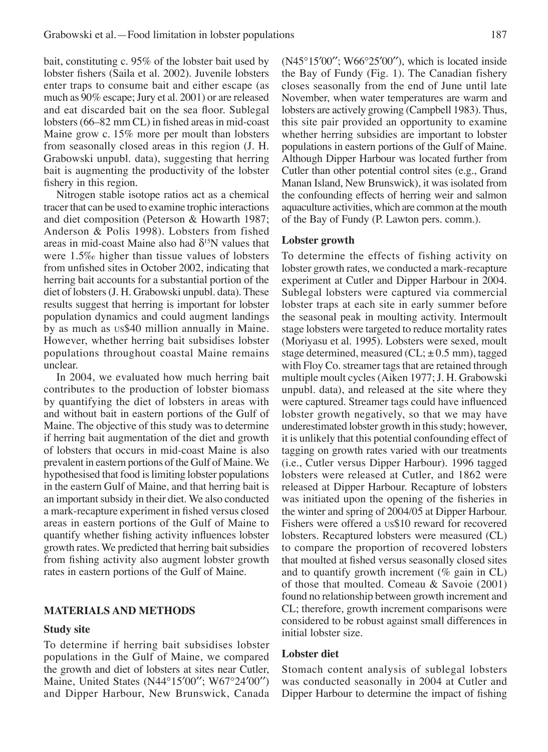bait, constituting c. 95% of the lobster bait used by lobster fishers (Saila et al. 2002). Juvenile lobsters enter traps to consume bait and either escape (as much as 90% escape; Jury et al. 2001) or are released and eat discarded bait on the sea floor. Sublegal lobsters (66–82 mm CL) in fished areas in mid-coast Maine grow c. 15% more per moult than lobsters from seasonally closed areas in this region (J. H. Grabowski unpubl. data), suggesting that herring bait is augmenting the productivity of the lobster fishery in this region.

Nitrogen stable isotope ratios act as a chemical tracer that can be used to examine trophic interactions and diet composition (Peterson & Howarth 1987; Anderson & Polis 1998). Lobsters from fished areas in mid-coast Maine also had  $\delta^{15}$ N values that were 1.5‰ higher than tissue values of lobsters from unfished sites in October 2002, indicating that herring bait accounts for a substantial portion of the diet of lobsters (J. H. Grabowski unpubl. data). These results suggest that herring is important for lobster population dynamics and could augment landings by as much as us\$40 million annually in Maine. However, whether herring bait subsidises lobster populations throughout coastal Maine remains unclear.

 In 2004, we evaluated how much herring bait contributes to the production of lobster biomass by quantifying the diet of lobsters in areas with and without bait in eastern portions of the Gulf of Maine. The objective of this study was to determine if herring bait augmentation of the diet and growth of lobsters that occurs in mid-coast Maine is also prevalent in eastern portions of the Gulf of Maine. We hypothesised that food is limiting lobster populations in the eastern Gulf of Maine, and that herring bait is an important subsidy in their diet. We also conducted a mark-recapture experiment in fished versus closed areas in eastern portions of the Gulf of Maine to quantify whether fishing activity influences lobster growth rates. We predicted that herring bait subsidies from fishing activity also augment lobster growth rates in eastern portions of the Gulf of Maine.

## **MATERIALS AND METHODS**

## **Study site**

To determine if herring bait subsidises lobster populations in the Gulf of Maine, we compared the growth and diet of lobsters at sites near Cutler, Maine, United States (N44°15′00′′; W67°24′00′′) and Dipper Harbour, New Brunswick, Canada (N45°15′00′′; W66°25′00′′), which is located inside the Bay of Fundy (Fig. 1). The Canadian fishery closes seasonally from the end of June until late November, when water temperatures are warm and lobsters are actively growing (Campbell 1983). Thus, this site pair provided an opportunity to examine whether herring subsidies are important to lobster populations in eastern portions of the Gulf of Maine. Although Dipper Harbour was located further from Cutler than other potential control sites (e.g., Grand Manan Island, New Brunswick), it was isolated from the confounding effects of herring weir and salmon aquaculture activities, which are common at the mouth of the Bay of Fundy (P. Lawton pers. comm.).

#### **Lobster growth**

To determine the effects of fishing activity on lobster growth rates, we conducted a mark-recapture experiment at Cutler and Dipper Harbour in 2004. Sublegal lobsters were captured via commercial lobster traps at each site in early summer before the seasonal peak in moulting activity. Intermoult stage lobsters were targeted to reduce mortality rates (Moriyasu et al. 1995). Lobsters were sexed, moult stage determined, measured  $(CL; \pm 0.5 \text{ mm})$ , tagged with Floy Co. streamer tags that are retained through multiple moult cycles (Aiken 1977; J. H. Grabowski unpubl. data), and released at the site where they were captured. Streamer tags could have influenced lobster growth negatively, so that we may have underestimated lobster growth in this study; however, it is unlikely that this potential confounding effect of tagging on growth rates varied with our treatments (i.e., Cutler versus Dipper Harbour). 1996 tagged lobsters were released at Cutler, and 1862 were released at Dipper Harbour. Recapture of lobsters was initiated upon the opening of the fisheries in the winter and spring of 2004/05 at Dipper Harbour. Fishers were offered a us\$10 reward for recovered lobsters. Recaptured lobsters were measured (CL) to compare the proportion of recovered lobsters that moulted at fished versus seasonally closed sites and to quantify growth increment (% gain in CL) of those that moulted. Comeau & Savoie (2001) found no relationship between growth increment and CL; therefore, growth increment comparisons were considered to be robust against small differences in initial lobster size.

## **Lobster diet**

Stomach content analysis of sublegal lobsters was conducted seasonally in 2004 at Cutler and Dipper Harbour to determine the impact of fishing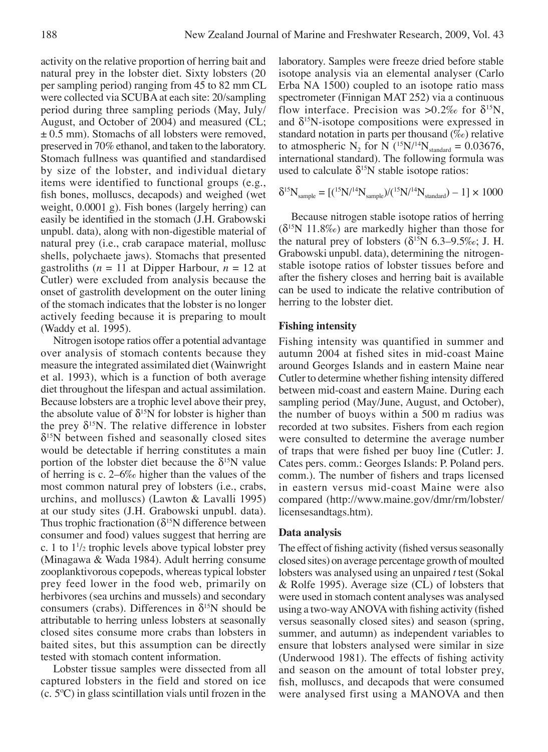activity on the relative proportion of herring bait and natural prey in the lobster diet. Sixty lobsters (20 per sampling period) ranging from 45 to 82 mm CL were collected via SCUBA at each site: 20/sampling period during three sampling periods (May, July/ August, and October of 2004) and measured (CL;  $\pm$  0.5 mm). Stomachs of all lobsters were removed, preserved in 70% ethanol, and taken to the laboratory. Stomach fullness was quantified and standardised by size of the lobster, and individual dietary items were identified to functional groups (e.g., fish bones, molluscs, decapods) and weighed (wet weight, 0.0001 g). Fish bones (largely herring) can easily be identified in the stomach (J.H. Grabowski unpubl. data), along with non-digestible material of natural prey (i.e., crab carapace material, mollusc shells, polychaete jaws). Stomachs that presented gastroliths (*n* = 11 at Dipper Harbour, *n* = 12 at Cutler) were excluded from analysis because the onset of gastrolith development on the outer lining of the stomach indicates that the lobster is no longer actively feeding because it is preparing to moult (Waddy et al. 1995).

Nitrogen isotope ratios offer a potential advantage over analysis of stomach contents because they measure the integrated assimilated diet (Wainwright et al. 1993), which is a function of both average diet throughout the lifespan and actual assimilation. Because lobsters are a trophic level above their prey, the absolute value of  $\delta^{15}N$  for lobster is higher than the prey  $\delta^{15}$ N. The relative difference in lobster  $\delta^{15}$ N between fished and seasonally closed sites would be detectable if herring constitutes a main portion of the lobster diet because the  $\delta^{15}N$  value of herring is c. 2–6‰ higher than the values of the most common natural prey of lobsters (i.e., crabs, urchins, and molluscs) (Lawton & Lavalli 1995) at our study sites (J.H. Grabowski unpubl. data). Thus trophic fractionation ( $\delta^{15}N$  difference between consumer and food) values suggest that herring are c. 1 to  $1\frac{1}{2}$  trophic levels above typical lobster prey (Minagawa & Wada 1984). Adult herring consume zooplanktivorous copepods, whereas typical lobster prey feed lower in the food web, primarily on herbivores (sea urchins and mussels) and secondary consumers (crabs). Differences in  $\delta^{15}N$  should be attributable to herring unless lobsters at seasonally closed sites consume more crabs than lobsters in baited sites, but this assumption can be directly tested with stomach content information.

 Lobster tissue samples were dissected from all captured lobsters in the field and stored on ice (c. 5ºC) in glass scintillation vials until frozen in the

laboratory. Samples were freeze dried before stable isotope analysis via an elemental analyser (Carlo Erba NA 1500) coupled to an isotope ratio mass spectrometer (Finnigan MAT 252) via a continuous flow interface. Precision was  $>0.2\%$  for  $\delta^{15}N$ , and  $\delta^{15}$ N-isotope compositions were expressed in standard notation in parts per thousand (‰) relative to atmospheric N<sub>2</sub> for N  $(^{15}N/^{14}N_{standard} = 0.03676$ , international standard). The following formula was used to calculate  $\delta^{15}N$  stable isotope ratios:

$$
\delta^{15}N_{\rm sample} = [(^{15}N/^{14}N_{\rm sample})/(^{15}N/^{14}N_{\rm standard}) - 1] \times 1000
$$

 Because nitrogen stable isotope ratios of herring  $(\delta^{15}N \ 11.8\%)$  are markedly higher than those for the natural prey of lobsters ( $\delta^{15}N$  6.3–9.5‰; J. H. Grabowski unpubl. data), determining the nitrogenstable isotope ratios of lobster tissues before and after the fishery closes and herring bait is available can be used to indicate the relative contribution of herring to the lobster diet.

## **Fishing intensity**

Fishing intensity was quantified in summer and autumn 2004 at fished sites in mid-coast Maine around Georges Islands and in eastern Maine near Cutler to determine whether fishing intensity differed between mid-coast and eastern Maine. During each sampling period (May/June, August, and October), the number of buoys within a 500 m radius was recorded at two subsites. Fishers from each region were consulted to determine the average number of traps that were fished per buoy line (Cutler: J. Cates pers. comm.: Georges Islands: P. Poland pers. comm.). The number of fishers and traps licensed in eastern versus mid-coast Maine were also compared (http://www.maine.gov/dmr/rm/lobster/ licensesandtags.htm).

#### **Data analysis**

The effect of fishing activity (fished versus seasonally closed sites) on average percentage growth of moulted lobsters was analysed using an unpaired *t* test (Sokal & Rolfe 1995). Average size (CL) of lobsters that were used in stomach content analyses was analysed using a two-way ANOVA with fishing activity (fished versus seasonally closed sites) and season (spring, summer, and autumn) as independent variables to ensure that lobsters analysed were similar in size (Underwood 1981). The effects of fishing activity and season on the amount of total lobster prey, fish, molluscs, and decapods that were consumed were analysed first using a MANOVA and then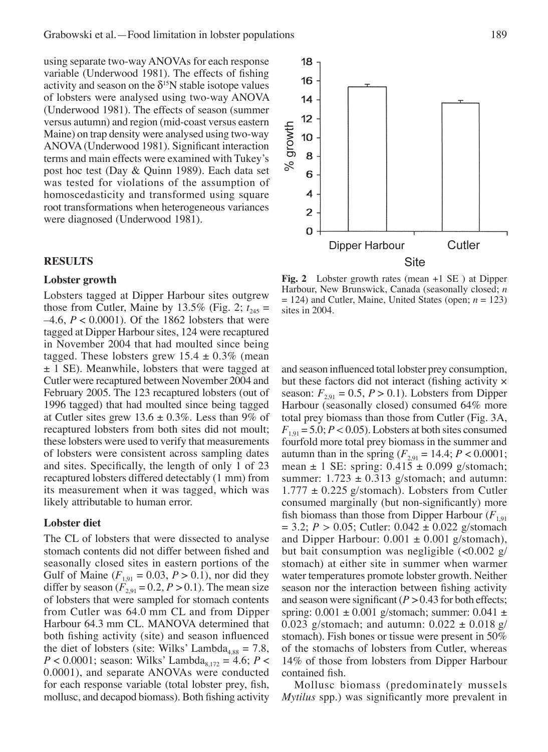using separate two-way ANOVAs for each response variable (Underwood 1981). The effects of fishing activity and season on the  $\delta^{15}N$  stable isotope values of lobsters were analysed using two-way ANOVA (Underwood 1981). The effects of season (summer versus autumn) and region (mid-coast versus eastern Maine) on trap density were analysed using two-way ANOVA (Underwood 1981). Significant interaction terms and main effects were examined with Tukey's post hoc test (Day & Quinn 1989). Each data set was tested for violations of the assumption of homoscedasticity and transformed using square root transformations when heterogeneous variances were diagnosed (Underwood 1981).

## **RESULTS**

#### **Lobster growth**

Lobsters tagged at Dipper Harbour sites outgrew those from Cutler, Maine by 13.5% (Fig. 2;  $t_{245}$  = –4.6, *P* < 0.0001). Of the 1862 lobsters that were tagged at Dipper Harbour sites, 124 were recaptured in November 2004 that had moulted since being tagged. These lobsters grew  $15.4 \pm 0.3\%$  (mean  $\pm$  1 SE). Meanwhile, lobsters that were tagged at Cutler were recaptured between November 2004 and February 2005. The 123 recaptured lobsters (out of 1996 tagged) that had moulted since being tagged at Cutler sites grew  $13.6 \pm 0.3\%$ . Less than 9% of recaptured lobsters from both sites did not moult; these lobsters were used to verify that measurements of lobsters were consistent across sampling dates and sites. Specifically, the length of only 1 of 23 recaptured lobsters differed detectably (1 mm) from its measurement when it was tagged, which was likely attributable to human error.

#### **Lobster diet**

The CL of lobsters that were dissected to analyse stomach contents did not differ between fished and seasonally closed sites in eastern portions of the Gulf of Maine ( $F_{1,91} = 0.03, P > 0.1$ ), nor did they differ by season  $(F_{2,91} = 0.2, P > 0.1)$ . The mean size of lobsters that were sampled for stomach contents from Cutler was 64.0 mm CL and from Dipper Harbour 64.3 mm CL. MANOVA determined that both fishing activity (site) and season influenced the diet of lobsters (site: Wilks' Lambda<sub>4,88</sub> = 7.8,  $P < 0.0001$ ; season: Wilks' Lambda<sub>8,172</sub> = 4.6;  $P <$ 0.0001), and separate ANOVAs were conducted for each response variable (total lobster prey, fish, mollusc, and decapod biomass). Both fishing activity



**Fig. 2** Lobster growth rates (mean +1 SE ) at Dipper Harbour, New Brunswick, Canada (seasonally closed; *n* = 124) and Cutler, Maine, United States (open; *n* = 123) sites in 2004.

and season influenced total lobster prey consumption, but these factors did not interact (fishing activity × season:  $F_{2.91} = 0.5$ ,  $P > 0.1$ ). Lobsters from Dipper Harbour (seasonally closed) consumed 64% more total prey biomass than those from Cutler (Fig. 3A,  $F_{1,91} = 5.0$ ;  $P < 0.05$ ). Lobsters at both sites consumed fourfold more total prey biomass in the summer and autumn than in the spring  $(F_{2,91} = 14.4; P < 0.0001;$ mean  $\pm$  1 SE: spring: 0.415  $\pm$  0.099 g/stomach; summer:  $1.723 \pm 0.313$  g/stomach; and autumn:  $1.777 \pm 0.225$  g/stomach). Lobsters from Cutler consumed marginally (but non-significantly) more fish biomass than those from Dipper Harbour  $(F_{1,91})$  $= 3.2$ ;  $P > 0.05$ ; Cutler:  $0.042 \pm 0.022$  g/stomach and Dipper Harbour:  $0.001 \pm 0.001$  g/stomach), but bait consumption was negligible  $\left($ <0.002 g/ stomach) at either site in summer when warmer water temperatures promote lobster growth. Neither season nor the interaction between fishing activity and season were significant  $(P > 0.43$  for both effects; spring:  $0.001 \pm 0.001$  g/stomach; summer:  $0.041 \pm$ 0.023 g/stomach; and autumn:  $0.022 \pm 0.018$  g/ stomach). Fish bones or tissue were present in 50% of the stomachs of lobsters from Cutler, whereas 14% of those from lobsters from Dipper Harbour contained fish.

Mollusc biomass (predominately mussels *Mytilus* spp.) was significantly more prevalent in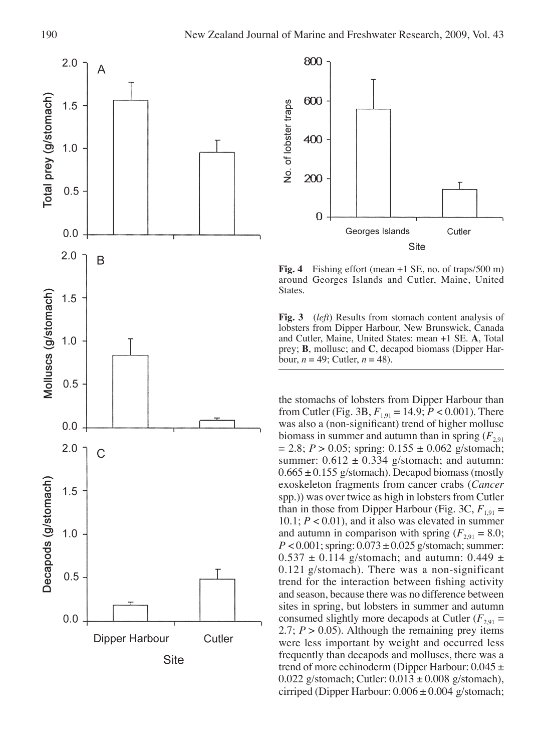



**Fig. 4** Fishing effort (mean +1 SE, no. of traps/500 m) around Georges Islands and Cutler, Maine, United States.

**Fig. 3** (*left*) Results from stomach content analysis of lobsters from Dipper Harbour, New Brunswick, Canada and Cutler, Maine, United States: mean +1 SE. **A**, Total prey; **B**, mollusc; and **C**, decapod biomass (Dipper Harbour,  $n = 49$ ; Cutler,  $n = 48$ ).

the stomachs of lobsters from Dipper Harbour than from Cutler (Fig. 3B,  $F_{1,91} = 14.9; P < 0.001$ ). There was also a (non-significant) trend of higher mollusc biomass in summer and autumn than in spring  $(F_{2,91})$  $= 2.8$ ;  $P > 0.05$ ; spring:  $0.155 \pm 0.062$  g/stomach; summer:  $0.612 \pm 0.334$  g/stomach; and autumn:  $0.665 \pm 0.155$  g/stomach). Decapod biomass (mostly exoskeleton fragments from cancer crabs (*Cancer*  spp.)) was over twice as high in lobsters from Cutler than in those from Dipper Harbour (Fig. 3C,  $F_{1.91}$  = 10.1; *P* < 0.01), and it also was elevated in summer and autumn in comparison with spring  $(F_{2,91} = 8.0;$ *P* < 0.001; spring: 0.073 ± 0.025 g/stomach; summer:  $0.537 \pm 0.114$  g/stomach; and autumn:  $0.449 \pm 0.114$ 0.121 g/stomach). There was a non-significant trend for the interaction between fishing activity and season, because there was no difference between sites in spring, but lobsters in summer and autumn consumed slightly more decapods at Cutler  $(F_{2,91} =$ 2.7;  $P > 0.05$ ). Although the remaining prey items were less important by weight and occurred less frequently than decapods and molluscs, there was a trend of more echinoderm (Dipper Harbour: 0.045 ± 0.022 g/stomach; Cutler:  $0.013 \pm 0.008$  g/stomach), cirriped (Dipper Harbour:  $0.006 \pm 0.004$  g/stomach;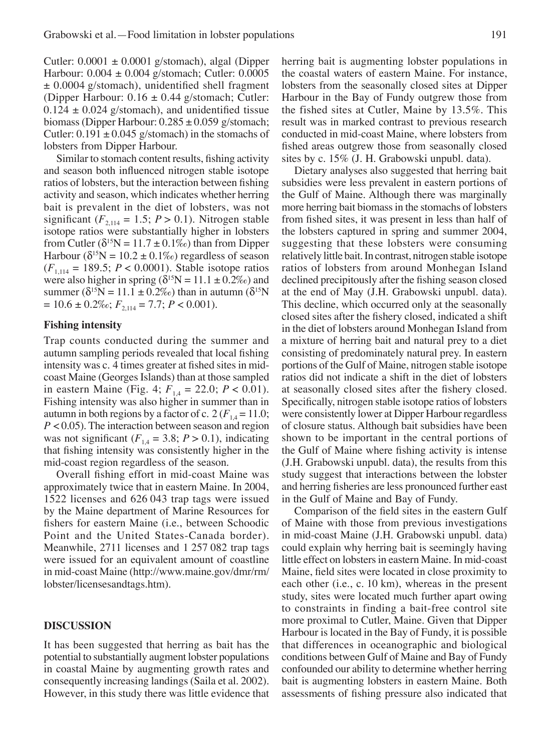Cutler:  $0.0001 \pm 0.0001$  g/stomach), algal (Dipper Harbour:  $0.004 \pm 0.004$  g/stomach; Cutler: 0.0005  $\pm$  0.0004 g/stomach), unidentified shell fragment (Dipper Harbour:  $0.16 \pm 0.44$  g/stomach; Cutler:  $0.124 \pm 0.024$  g/stomach), and unidentified tissue biomass (Dipper Harbour:  $0.285 \pm 0.059$  g/stomach; Cutler:  $0.191 \pm 0.045$  g/stomach) in the stomachs of lobsters from Dipper Harbour.

Similar to stomach content results, fishing activity and season both influenced nitrogen stable isotope ratios of lobsters, but the interaction between fishing activity and season, which indicates whether herring bait is prevalent in the diet of lobsters, was not significant  $(F_{2,114} = 1.5; P > 0.1)$ . Nitrogen stable isotope ratios were substantially higher in lobsters from Cutler ( $\delta^{15}N = 11.7 \pm 0.1\%$ ) than from Dipper Harbour ( $\delta^{15}N = 10.2 \pm 0.1\%$ ) regardless of season  $(F_{1,114} = 189.5; P < 0.0001)$ . Stable isotope ratios were also higher in spring ( $\delta^{15}N = 11.1 \pm 0.2\%$ ) and summer ( $\delta^{15}N = 11.1 \pm 0.2\%$ ) than in autumn ( $\delta^{15}N$  $= 10.6 \pm 0.2\%$ ;  $F_{2,114} = 7.7$ ;  $P < 0.001$ ).

## **Fishing intensity**

Trap counts conducted during the summer and autumn sampling periods revealed that local fishing intensity was c. 4 times greater at fished sites in midcoast Maine (Georges Islands) than at those sampled in eastern Maine (Fig. 4;  $F_{1,4} = 22.0$ ;  $P < 0.01$ ). Fishing intensity was also higher in summer than in autumn in both regions by a factor of c. 2 ( $F_{1,4} = 11.0$ ; *P* < 0.05). The interaction between season and region was not significant  $(F_{1,4} = 3.8; P > 0.1)$ , indicating that fishing intensity was consistently higher in the mid-coast region regardless of the season.

Overall fishing effort in mid-coast Maine was approximately twice that in eastern Maine. In 2004, 1522 licenses and 626 043 trap tags were issued by the Maine department of Marine Resources for fishers for eastern Maine (i.e., between Schoodic Point and the United States-Canada border). Meanwhile, 2711 licenses and 1 257 082 trap tags were issued for an equivalent amount of coastline in mid-coast Maine (http://www.maine.gov/dmr/rm/ lobster/licensesandtags.htm).

#### **DISCUSSION**

It has been suggested that herring as bait has the potential to substantially augment lobster populations in coastal Maine by augmenting growth rates and consequently increasing landings (Saila et al. 2002). However, in this study there was little evidence that herring bait is augmenting lobster populations in the coastal waters of eastern Maine. For instance, lobsters from the seasonally closed sites at Dipper Harbour in the Bay of Fundy outgrew those from the fished sites at Cutler, Maine by 13.5%. This result was in marked contrast to previous research conducted in mid-coast Maine, where lobsters from fished areas outgrew those from seasonally closed sites by c. 15% (J. H. Grabowski unpubl. data).

 Dietary analyses also suggested that herring bait subsidies were less prevalent in eastern portions of the Gulf of Maine. Although there was marginally more herring bait biomass in the stomachs of lobsters from fished sites, it was present in less than half of the lobsters captured in spring and summer 2004, suggesting that these lobsters were consuming relatively little bait. In contrast, nitrogen stable isotope ratios of lobsters from around Monhegan Island declined precipitously after the fishing season closed at the end of May (J.H. Grabowski unpubl. data). This decline, which occurred only at the seasonally closed sites after the fishery closed, indicated a shift in the diet of lobsters around Monhegan Island from a mixture of herring bait and natural prey to a diet consisting of predominately natural prey. In eastern portions of the Gulf of Maine, nitrogen stable isotope ratios did not indicate a shift in the diet of lobsters at seasonally closed sites after the fishery closed. Specifically, nitrogen stable isotope ratios of lobsters were consistently lower at Dipper Harbour regardless of closure status. Although bait subsidies have been shown to be important in the central portions of the Gulf of Maine where fishing activity is intense (J.H. Grabowski unpubl. data), the results from this study suggest that interactions between the lobster and herring fisheries are less pronounced further east in the Gulf of Maine and Bay of Fundy.

Comparison of the field sites in the eastern Gulf of Maine with those from previous investigations in mid-coast Maine (J.H. Grabowski unpubl. data) could explain why herring bait is seemingly having little effect on lobsters in eastern Maine. In mid-coast Maine, field sites were located in close proximity to each other (i.e., c. 10 km), whereas in the present study, sites were located much further apart owing to constraints in finding a bait-free control site more proximal to Cutler, Maine. Given that Dipper Harbour is located in the Bay of Fundy, it is possible that differences in oceanographic and biological conditions between Gulf of Maine and Bay of Fundy confounded our ability to determine whether herring bait is augmenting lobsters in eastern Maine. Both assessments of fishing pressure also indicated that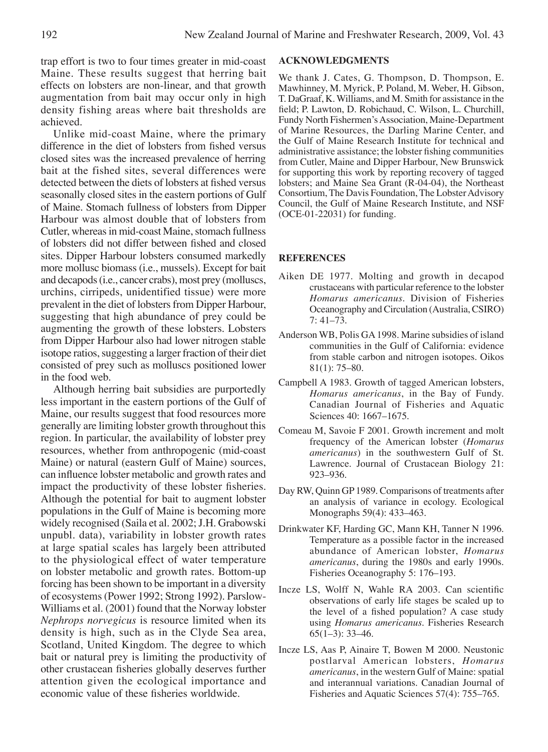trap effort is two to four times greater in mid-coast Maine. These results suggest that herring bait effects on lobsters are non-linear, and that growth augmentation from bait may occur only in high density fishing areas where bait thresholds are achieved.

 Unlike mid-coast Maine, where the primary difference in the diet of lobsters from fished versus closed sites was the increased prevalence of herring bait at the fished sites, several differences were detected between the diets of lobsters at fished versus seasonally closed sites in the eastern portions of Gulf of Maine. Stomach fullness of lobsters from Dipper Harbour was almost double that of lobsters from Cutler, whereas in mid-coast Maine, stomach fullness of lobsters did not differ between fished and closed sites. Dipper Harbour lobsters consumed markedly more mollusc biomass (i.e., mussels). Except for bait and decapods (i.e., cancer crabs), most prey (molluscs, urchins, cirripeds, unidentified tissue) were more prevalent in the diet of lobsters from Dipper Harbour, suggesting that high abundance of prey could be augmenting the growth of these lobsters. Lobsters from Dipper Harbour also had lower nitrogen stable isotope ratios, suggesting a larger fraction of their diet consisted of prey such as molluscs positioned lower in the food web.

 Although herring bait subsidies are purportedly less important in the eastern portions of the Gulf of Maine, our results suggest that food resources more generally are limiting lobster growth throughout this region. In particular, the availability of lobster prey resources, whether from anthropogenic (mid-coast Maine) or natural (eastern Gulf of Maine) sources, can influence lobster metabolic and growth rates and impact the productivity of these lobster fisheries. Although the potential for bait to augment lobster populations in the Gulf of Maine is becoming more widely recognised (Saila et al. 2002; J.H. Grabowski unpubl. data), variability in lobster growth rates at large spatial scales has largely been attributed to the physiological effect of water temperature on lobster metabolic and growth rates. Bottom-up forcing has been shown to be important in a diversity of ecosystems (Power 1992; Strong 1992). Parslow-Williams et al. (2001) found that the Norway lobster *Nephrops norvegicus* is resource limited when its density is high, such as in the Clyde Sea area, Scotland, United Kingdom. The degree to which bait or natural prey is limiting the productivity of other crustacean fisheries globally deserves further attention given the ecological importance and economic value of these fisheries worldwide.

#### **ACKNOWLEDGMENTS**

We thank J. Cates, G. Thompson, D. Thompson, E. Mawhinney, M. Myrick, P. Poland, M. Weber, H. Gibson, T. DaGraaf, K. Williams, and M. Smith for assistance in the field; P. Lawton, D. Robichaud, C. Wilson, L. Churchill, Fundy North Fishermen's Association, Maine-Department of Marine Resources, the Darling Marine Center, and the Gulf of Maine Research Institute for technical and administrative assistance; the lobster fishing communities from Cutler, Maine and Dipper Harbour, New Brunswick for supporting this work by reporting recovery of tagged lobsters; and Maine Sea Grant (R-04-04), the Northeast Consortium, The Davis Foundation, The Lobster Advisory Council, the Gulf of Maine Research Institute, and NSF (OCE-01-22031) for funding.

#### **REFERENCES**

- Aiken DE 1977. Molting and growth in decapod crustaceans with particular reference to the lobster *Homarus americanus*. Division of Fisheries Oceanography and Circulation (Australia, CSIRO) 7: 41–73.
- Anderson WB, Polis GA 1998. Marine subsidies of island communities in the Gulf of California: evidence from stable carbon and nitrogen isotopes. Oikos 81(1): 75–80.
- Campbell A 1983. Growth of tagged American lobsters, *Homarus americanus*, in the Bay of Fundy. Canadian Journal of Fisheries and Aquatic Sciences 40: 1667–1675.
- Comeau M, Savoie F 2001. Growth increment and molt frequency of the American lobster (*Homarus americanus*) in the southwestern Gulf of St. Lawrence. Journal of Crustacean Biology 21: 923–936.
- Day RW, Quinn GP 1989. Comparisons of treatments after an analysis of variance in ecology. Ecological Monographs 59(4): 433–463.
- Drinkwater KF, Harding GC, Mann KH, Tanner N 1996. Temperature as a possible factor in the increased abundance of American lobster, *Homarus americanus*, during the 1980s and early 1990s. Fisheries Oceanography 5: 176–193.
- Incze LS, Wolff N, Wahle RA 2003. Can scientific observations of early life stages be scaled up to the level of a fished population? A case study using *Homarus americanus*. Fisheries Research  $65(1-3)$ : 33-46.
- Incze LS, Aas P, Ainaire T, Bowen M 2000. Neustonic postlarval American lobsters, *Homarus americanus*, in the western Gulf of Maine: spatial and interannual variations. Canadian Journal of Fisheries and Aquatic Sciences 57(4): 755–765.